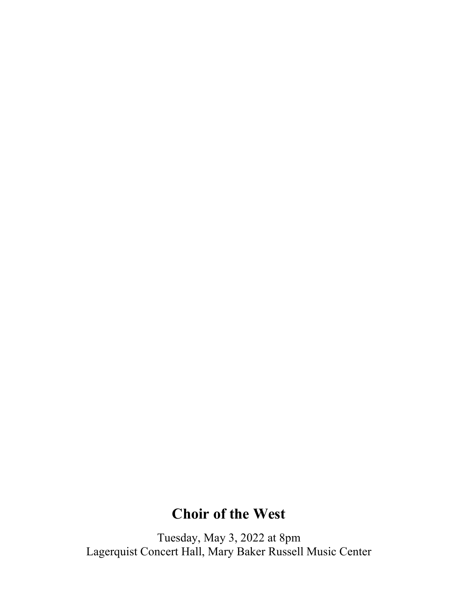# **Choir of the West**

Tuesday, May 3, 2022 at 8pm Lagerquist Concert Hall, Mary Baker Russell Music Center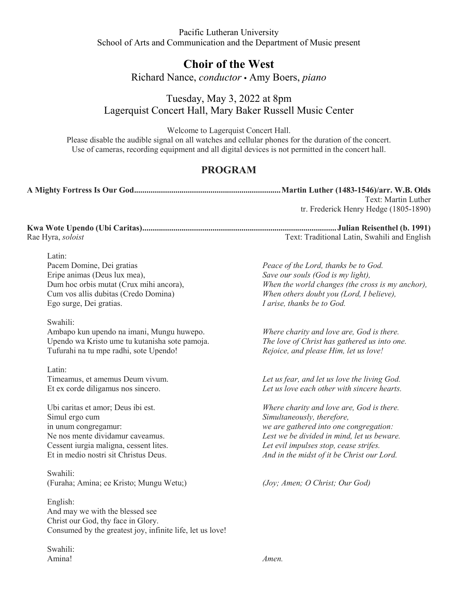Pacific Lutheran University School of Arts and Communication and the Department of Music present

## **Choir of the West**

Richard Nance, *conductor* **•** Amy Boers, *piano*

Tuesday, May 3, 2022 at 8pm Lagerquist Concert Hall, Mary Baker Russell Music Center

Welcome to Lagerquist Concert Hall.

Please disable the audible signal on all watches and cellular phones for the duration of the concert. Use of cameras, recording equipment and all digital devices is not permitted in the concert hall.

## **PROGRAM**

|                                                                                                                                                                                                     | Text: Martin Luther<br>tr. Frederick Henry Hedge (1805-1890)                                                                                                                                                                                            |
|-----------------------------------------------------------------------------------------------------------------------------------------------------------------------------------------------------|---------------------------------------------------------------------------------------------------------------------------------------------------------------------------------------------------------------------------------------------------------|
| Rae Hyra, soloist                                                                                                                                                                                   | Text: Traditional Latin, Swahili and English                                                                                                                                                                                                            |
| Latin:<br>Pacem Domine, Dei gratias<br>Eripe animas (Deus lux mea),<br>Dum hoc orbis mutat (Crux mihi ancora),<br>Cum vos allis dubitas (Credo Domina)<br>Ego surge, Dei gratias.                   | Peace of the Lord, thanks be to God.<br>Save our souls (God is my light),<br>When the world changes (the cross is my anchor),<br>When others doubt you (Lord, I believe),<br>I arise, thanks be to God.                                                 |
| Swahili:<br>Ambapo kun upendo na imani, Mungu huwepo.<br>Upendo wa Kristo ume tu kutanisha sote pamoja.<br>Tufurahi na tu mpe radhi, sote Upendo!                                                   | Where charity and love are, God is there.<br>The love of Christ has gathered us into one.<br>Rejoice, and please Him, let us love!                                                                                                                      |
| Latin:<br>Timeamus, et amemus Deum vivum.<br>Et ex corde diligamus nos sincero.                                                                                                                     | Let us fear, and let us love the living God.<br>Let us love each other with sincere hearts.                                                                                                                                                             |
| Ubi caritas et amor; Deus ibi est.<br>Simul ergo cum<br>in unum congregamur:<br>Ne nos mente dividamur caveamus.<br>Cessent iurgia maligna, cessent lites.<br>Et in medio nostri sit Christus Deus. | Where charity and love are, God is there.<br>Simultaneously, therefore,<br>we are gathered into one congregation:<br>Lest we be divided in mind, let us beware.<br>Let evil impulses stop, cease strifes.<br>And in the midst of it be Christ our Lord. |
| Swahili:<br>(Furaha; Amina; ee Kristo; Mungu Wetu;)                                                                                                                                                 | (Joy; Amen; O Christ; Our God)                                                                                                                                                                                                                          |
| English:<br>And may we with the blessed see<br>Christ our God, thy face in Glory.<br>Consumed by the greatest joy, infinite life, let us love!                                                      |                                                                                                                                                                                                                                                         |

Swahili: Amina! *Amen.*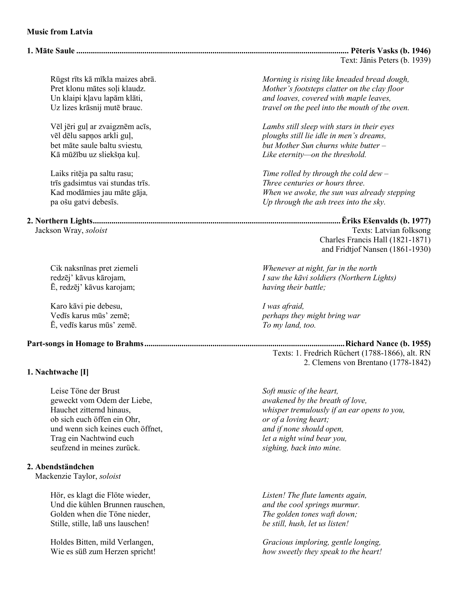#### **Music from Latvia**

#### **1. Māte Saule .................................................................................................................................... Pēteris Vasks (b. 1946)**

Text: Jānis Peters (b. 1939)

Ē, redzēj' kāvus karojam; *having their battle;* 

Karo kāvi pie debesu, *I was afraid, I was afraid, I was afraid, I was afraid, I was afraid, I* was afraid, *I* was afraid, *I* was afraid, *I* was afraid, *I* was afraid, *I* was afraid, *I* was a see the *I* wa Ē, vedīs karus mūs' zemē. *To my land, too.* 

**Part-songs in Homage to Brahms ................................................................................................. Richard Nance (b. 1955)** 

#### **1. Nachtwache [I]**

Leise Töne der Brust *Soft music of the heart,*  geweckt vom Odem der Liebe, *awakened by the breath of love,* ob sich euch öffen ein Ohr, *or of a loving heart;*  und wenn sich keines euch öffnet, *and if none should open,*  Trag ein Nachtwind euch *let a night wind bear you,*  seufzend in meines zurück. *sighing, back into mine.* 

#### **2. Abendständchen**

Mackenzie Taylor, *soloist*

Hör, es klagt die Flöte wieder, *Listen! The flute laments again,* Und die kühlen Brunnen rauschen, *and the cool springs murmur*.<br>
Golden when die Töne nieder, *The golden tones waft down*; Golden when die Töne nieder,<br>
Stille. stille. laß uns lauschen!<br> *Stille. still. hush. let us listen!* Stille, stille, laß uns lauschen!

Rūgst rīts kā mīkla maizes abrā. *Morning is rising like kneaded bread dough,*  Mother's footsteps clatter on the clay floor Un klaipi kļavu lapām klāti,<br>Uz lizes krāsnij mutē brauc.<br>*Uz lizes krāsnij mutē brauc. and loaves, covered with maple leaves,* travel on the peel into the mouth of the oven.

Vēl jēri guļ ar zvaigznēm acīs, *Lambs still sleep with stars in their eyes* ploughs still lie idle in men's dreams, bet māte saule baltu sviestu*, but Mother Sun churns white butter –*  Kā mūžību uz sliekšņa kuļ. *Like eternity—on the threshold.*

Laiks ritēja pa saltu rasu; *Time rolled by through the cold dew –*  trīs gadsimtus vai stundas trīs. *Three centuries or hours three.* Kad modāmies jau māte gāja*, When we awoke, the sun was already stepping*  pa ošu gatvi debesīs. *Up through the ash trees into the sky.* 

# **2. Northern Lights ........................................................................................................................ Ēriks Ešenvalds (b. 1977)**

Texts: Latvian folksong Charles Francis Hall (1821-1871) and Fridtjof Nansen (1861-1930)

Cik naksnīnas pret ziemeli *Whenever at night, far in the north*  redzēj' kāvus kārojam, *I saw the kāvi soldiers (Northern Lights)*

perhaps they might bring war

Texts: 1. Fredrich Rüchert (1788-1866), alt. RN 2. Clemens von Brentano (1778-1842)

Hauchet zitternd hinaus,<br>
ob sich euch öffen ein Ohr,<br> *or of a loving heart;* 

Holdes Bitten, mild Verlangen, *Gracious imploring, gentle longing,* Wie es süß zum Herzen spricht! *how sweetly they speak to the heart!*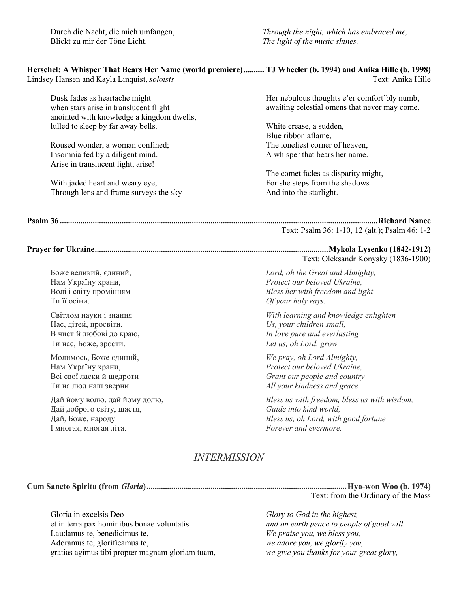Blickt zu mir der Töne Licht. *The light of the music shines.* 

Durch die Nacht, die mich umfangen, *Through the night, which has embraced me,*

## **Herschel: A Whisper That Bears Her Name (world premiere) .......... TJ Wheeler (b. 1994) and Anika Hille (b. 1998)**

Lindsey Hansen and Kayla Linquist, *soloists* Text: Anika Hille

Dusk fades as heartache might when stars arise in translucent flight anointed with knowledge a kingdom dwells, lulled to sleep by far away bells.

Roused wonder, a woman confined; Insomnia fed by a diligent mind. Arise in translucent light, arise!

With jaded heart and weary eye, Through lens and frame surveys the sky Her nebulous thoughts e'er comfort'bly numb, awaiting celestial omens that never may come.

White crease, a sudden, Blue ribbon aflame, The loneliest corner of heaven, A whisper that bears her name.

The comet fades as disparity might, For she steps from the shadows And into the starlight.

**Psalm 36 .......................................................................................................................................................... Richard Nance** Text: Psalm 36: 1-10, 12 (alt.); Psalm 46: 1-2

#### **Prayer for Ukraine ................................................................................................................. Mykola Lysenko (1842-1912)**  Text: Oleksandr Konysky (1836-1900)

Боже великий, єдиний, *Lord, oh the Great and Almighty,* Нам Україну храни, *Protect our beloved Ukraine,* Волі і світу промінням *Bless her with freedom and light* Ти її осіни. *Of your holy rays.* 

Світлом науки і знання *With learning and knowledge enlighten* Нас, дітей, просвіти, *Us, your children small,* В чистій любові до краю, *In love pure and everlasting* Ти нас, Боже, зрости. *Let us, oh Lord, grow.* 

Молимось, Боже єдиний, *We pray, oh Lord Almighty,* Protect our beloved Ukraine, Всі свої ласки й щедроти *Grant our people and country* Ти на люд наш зверни. *All your kindness and grace.* 

Дай йому волю, дай йому долю, *Bless us with freedom, bless us with wisdom,* Дай доброго світу, щастя, *Guide into kind world,* Дай, Боже, народу<br>1 многая, многая літа.<br>1 многая, многая літа.

## *INTERMISSION*

**Cum Sancto Spiritu (from** *Gloria***) ................................................................................................. Hyo-won Woo (b. 1974)** 

І многая, многая літа. *Forever and evermore.*

Gloria in excelsis Deo<br>
et in terra pax hominibus bonae voluntatis.<br> *Glory to God in the highest,*<br> *Glory to God in the highest,*<br> *Glory to God in the highest,* et in terra pax hominibus bonae voluntatis. *and on earth peace to people of good will.*  Laudamus te, benedicimus te, *We praise you, we bless you,* gratias agimus tibi propter magnam gloriam tuam, *we give you thanks for your great glory,* 

Text: from the Ordinary of the Mass

we adore you, we glorify you,<br>we give you thanks for your great glory,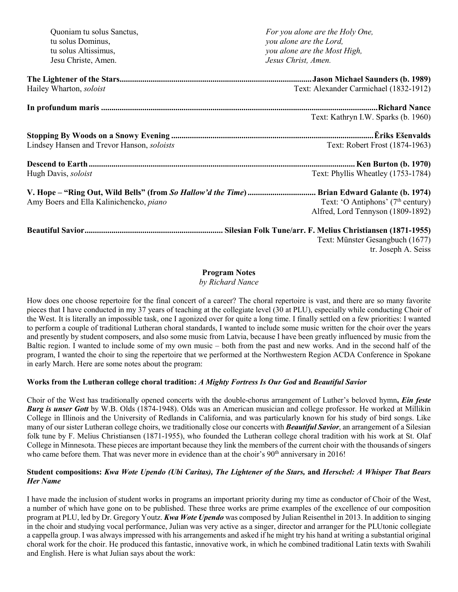| Quoniam tu solus Sanctus,                  | For you alone are the Holy One,               |
|--------------------------------------------|-----------------------------------------------|
| tu solus Dominus,                          | you alone are the Lord,                       |
| tu solus Altissimus,                       | you alone are the Most High,                  |
| Jesu Christe, Amen.                        | Jesus Christ, Amen.                           |
|                                            |                                               |
| Hailey Wharton, soloist                    | Text: Alexander Carmichael (1832-1912)        |
|                                            |                                               |
|                                            | Text: Kathryn I.W. Sparks (b. 1960)           |
|                                            |                                               |
| Lindsey Hansen and Trevor Hanson, soloists | Text: Robert Frost (1874-1963)                |
|                                            |                                               |
| Hugh Davis, soloist                        | Text: Phyllis Wheatley (1753-1784)            |
|                                            |                                               |
| Amy Boers and Ella Kalinichencko, piano    | Text: 'O Antiphons' (7 <sup>th</sup> century) |
|                                            | Alfred, Lord Tennyson (1809-1892)             |
|                                            |                                               |
|                                            | Text: Münster Gesangbuch (1677)               |
|                                            | tr. Joseph A. Seiss                           |

### **Program Notes**

*by Richard Nance*

How does one choose repertoire for the final concert of a career? The choral repertoire is vast, and there are so many favorite pieces that I have conducted in my 37 years of teaching at the collegiate level (30 at PLU), especially while conducting Choir of the West. It is literally an impossible task, one I agonized over for quite a long time. I finally settled on a few priorities: I wanted to perform a couple of traditional Lutheran choral standards, I wanted to include some music written for the choir over the years and presently by student composers, and also some music from Latvia, because I have been greatly influenced by music from the Baltic region. I wanted to include some of my own music – both from the past and new works. And in the second half of the program, I wanted the choir to sing the repertoire that we performed at the Northwestern Region ACDA Conference in Spokane in early March. Here are some notes about the program:

### **Works from the Lutheran college choral tradition:** *A Mighty Fortress Is Our God* **and** *Beautiful Savior*

Choir of the West has traditionally opened concerts with the double-chorus arrangement of Luther's beloved hymn**,** *Ein feste Burg is unser Gott* by W.B. Olds (1874-1948). Olds was an American musician and college professor. He worked at Millikin College in Illinois and the University of Redlands in California, and was particularly known for his study of bird songs. Like many of our sister Lutheran college choirs, we traditionally close our concerts with *Beautiful Savior*, an arrangement of a Silesian folk tune by F. Melius Christiansen (1871-1955), who founded the Lutheran college choral tradition with his work at St. Olaf College in Minnesota. These pieces are important because they link the members of the current choir with the thousands of singers who came before them. That was never more in evidence than at the choir's  $90<sup>th</sup>$  anniversary in 2016!

#### **Student compositions:** *Kwa Wote Upendo (Ubi Caritas), The Lightener of the Stars,* **and** *Herschel: A Whisper That Bears Her Name*

I have made the inclusion of student works in programs an important priority during my time as conductor of Choir of the West, a number of which have gone on to be published. These three works are prime examples of the excellence of our composition program at PLU, led by Dr. Gregory Youtz. *Kwa Wote Upendo* was composed by Julian Reisenthel in 2013. In addition to singing in the choir and studying vocal performance, Julian was very active as a singer, director and arranger for the PLUtonic collegiate a cappella group. I was always impressed with his arrangements and asked if he might try his hand at writing a substantial original choral work for the choir. He produced this fantastic, innovative work, in which he combined traditional Latin texts with Swahili and English. Here is what Julian says about the work: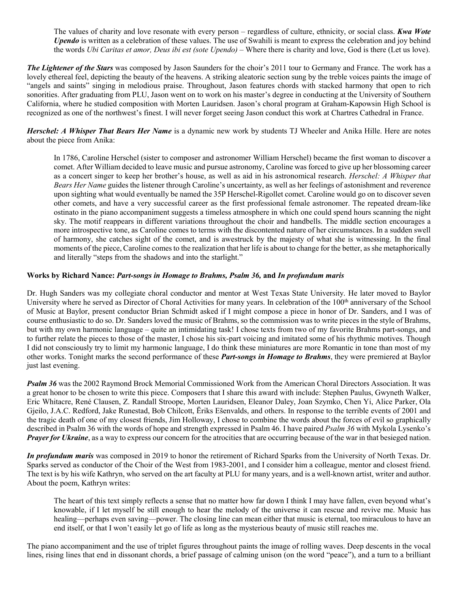The values of charity and love resonate with every person – regardless of culture, ethnicity, or social class. *Kwa Wote Upendo* is written as a celebration of these values. The use of Swahili is meant to express the celebration and joy behind the words *Ubi Caritas et amor, Deus ibi est (sote Upendo)* – Where there is charity and love, God is there (Let us love).

*The Lightener of the Stars* was composed by Jason Saunders for the choir's 2011 tour to Germany and France. The work has a lovely ethereal feel, depicting the beauty of the heavens. A striking aleatoric section sung by the treble voices paints the image of "angels and saints" singing in melodious praise. Throughout, Jason features chords with stacked harmony that open to rich sonorities. After graduating from PLU, Jason went on to work on his master's degree in conducting at the University of Southern California, where he studied composition with Morten Lauridsen. Jason's choral program at Graham-Kapowsin High School is recognized as one of the northwest's finest. I will never forget seeing Jason conduct this work at Chartres Cathedral in France.

*Herschel: A Whisper That Bears Her Name* is a dynamic new work by students TJ Wheeler and Anika Hille. Here are notes about the piece from Anika:

In 1786, Caroline Herschel (sister to composer and astronomer William Herschel) became the first woman to discover a comet. After William decided to leave music and pursue astronomy, Caroline was forced to give up her blossoming career as a concert singer to keep her brother's house, as well as aid in his astronomical research. *Herschel: A Whisper that Bears Her Name* guides the listener through Caroline's uncertainty, as well as her feelings of astonishment and reverence upon sighting what would eventually be named the 35P Herschel-Rigollet comet. Caroline would go on to discover seven other comets, and have a very successful career as the first professional female astronomer. The repeated dream-like ostinato in the piano accompaniment suggests a timeless atmosphere in which one could spend hours scanning the night sky. The motif reappears in different variations throughout the choir and handbells. The middle section encourages a more introspective tone, as Caroline comes to terms with the discontented nature of her circumstances. In a sudden swell of harmony, she catches sight of the comet, and is awestruck by the majesty of what she is witnessing. In the final moments of the piece, Caroline comes to the realization that her life is about to change for the better, as she metaphorically and literally "steps from the shadows and into the starlight."

#### **Works by Richard Nance:** *Part-songs in Homage to Brahms, Psalm 36,* **and** *In profundum maris*

Dr. Hugh Sanders was my collegiate choral conductor and mentor at West Texas State University. He later moved to Baylor University where he served as Director of Choral Activities for many years. In celebration of the 100<sup>th</sup> anniversary of the School of Music at Baylor, present conductor Brian Schmidt asked if I might compose a piece in honor of Dr. Sanders, and I was of course enthusiastic to do so. Dr. Sanders loved the music of Brahms, so the commission was to write pieces in the style of Brahms, but with my own harmonic language – quite an intimidating task! I chose texts from two of my favorite Brahms part-songs, and to further relate the pieces to those of the master, I chose his six-part voicing and imitated some of his rhythmic motives. Though I did not consciously try to limit my harmonic language, I do think these miniatures are more Romantic in tone than most of my other works. Tonight marks the second performance of these *Part-songs in Homage to Brahms*, they were premiered at Baylor just last evening.

*Psalm 36* was the 2002 Raymond Brock Memorial Commissioned Work from the American Choral Directors Association. It was a great honor to be chosen to write this piece. Composers that I share this award with include: Stephen Paulus, Gwyneth Walker, Eric Whitacre, René Clausen, Z. Randall Stroope, Morten Lauridsen, Eleanor Daley, Joan Szymko, Chen Yi, Alice Parker, Ola Gjeilo, J.A.C. Redford, Jake Runestad, Bob Chilcott, Ēriks Ešenvalds, and others. In response to the terrible events of 2001 and the tragic death of one of my closest friends, Jim Holloway, I chose to combine the words about the forces of evil so graphically described in Psalm 36 with the words of hope and strength expressed in Psalm 46. I have paired *Psalm 36* with Mykola Lysenko's *Prayer for Ukraine*, as a way to express our concern for the atrocities that are occurring because of the war in that besieged nation.

*In profundum maris* was composed in 2019 to honor the retirement of Richard Sparks from the University of North Texas. Dr. Sparks served as conductor of the Choir of the West from 1983-2001, and I consider him a colleague, mentor and closest friend. The text is by his wife Kathryn, who served on the art faculty at PLU for many years, and is a well-known artist, writer and author. About the poem, Kathryn writes:

The heart of this text simply reflects a sense that no matter how far down I think I may have fallen, even beyond what's knowable, if I let myself be still enough to hear the melody of the universe it can rescue and revive me. Music has healing—perhaps even saving—power. The closing line can mean either that music is eternal, too miraculous to have an end itself, or that I won't easily let go of life as long as the mysterious beauty of music still reaches me.

The piano accompaniment and the use of triplet figures throughout paints the image of rolling waves. Deep descents in the vocal lines, rising lines that end in dissonant chords, a brief passage of calming unison (on the word "peace"), and a turn to a brilliant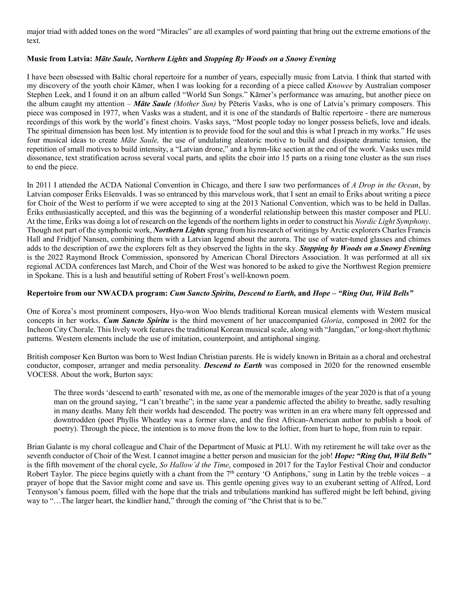major triad with added tones on the word "Miracles" are all examples of word painting that bring out the extreme emotions of the text.

#### **Music from Latvia:** *Māte Saule, Northern Lights* **and** *Stopping By Woods on a Snowy Evening*

I have been obsessed with Baltic choral repertoire for a number of years, especially music from Latvia. I think that started with my discovery of the youth choir Kāmer, when I was looking for a recording of a piece called *Knowee* by Australian composer Stephen Leek, and I found it on an album called "World Sun Songs." Kāmer's performance was amazing, but another piece on the album caught my attention – *Māte Saule (Mother Sun)* by Pēteris Vasks, who is one of Latvia's primary composers. This piece was composed in 1977, when Vasks was a student, and it is one of the standards of Baltic repertoire - there are numerous recordings of this work by the world's finest choirs. Vasks says, "Most people today no longer possess beliefs, love and ideals. The spiritual dimension has been lost. My intention is to provide food for the soul and this is what I preach in my works." He uses four musical ideas to create *Māte Saule,* the use of undulating aleatoric motive to build and dissipate dramatic tension, the repetition of small motives to build intensity, a "Latvian drone," and a hymn-like section at the end of the work. Vasks uses mild dissonance, text stratification across several vocal parts, and splits the choir into 15 parts on a rising tone cluster as the sun rises to end the piece.

In 2011 I attended the ACDA National Convention in Chicago, and there I saw two performances of *A Drop in the Ocean*, by Latvian composer Ēriks Ešenvalds. I was so entranced by this marvelous work, that I sent an email to Ēriks about writing a piece for Choir of the West to perform if we were accepted to sing at the 2013 National Convention, which was to be held in Dallas. Ēriks enthusiastically accepted, and this was the beginning of a wonderful relationship between this master composer and PLU. At the time, Ēriks was doing a lot of research on the legends of the northern lights in order to construct his *Nordic Light Symphony*. Though not part of the symphonic work, *Northern Lights* sprang from his research of writings by Arctic explorers Charles Francis Hall and Fridtjof Nansen, combining them with a Latvian legend about the aurora. The use of water-tuned glasses and chimes adds to the description of awe the explorers felt as they observed the lights in the sky. *Stopping by Woods on a Snowy Evening* is the 2022 Raymond Brock Commission, sponsored by American Choral Directors Association. It was performed at all six regional ACDA conferences last March, and Choir of the West was honored to be asked to give the Northwest Region premiere in Spokane. This is a lush and beautiful setting of Robert Frost's well-known poem.

#### **Repertoire from our NWACDA program:** *Cum Sancto Spiritu, Descend to Earth,* **and** *Hope – "Ring Out, Wild Bells"*

One of Korea's most prominent composers, Hyo-won Woo blends traditional Korean musical elements with Western musical concepts in her works. *Cum Sancto Spiritu* is the third movement of her unaccompanied *Gloria*, composed in 2002 for the Incheon City Chorale. This lively work features the traditional Korean musical scale, along with "Jangdan," or long-short rhythmic patterns. Western elements include the use of imitation, counterpoint, and antiphonal singing.

British composer Ken Burton was born to West Indian Christian parents. He is widely known in Britain as a choral and orchestral conductor, composer, arranger and media personality. *Descend to Earth* was composed in 2020 for the renowned ensemble VOCES8. About the work, Burton says:

The three words 'descend to earth' resonated with me, as one of the memorable images of the year 2020 is that of a young man on the ground saying, "I can't breathe"; in the same year a pandemic affected the ability to breathe, sadly resulting in many deaths. Many felt their worlds had descended. The poetry was written in an era where many felt oppressed and downtrodden (poet Phyllis Wheatley was a former slave, and the first African-American author to publish a book of poetry). Through the piece, the intention is to move from the low to the loftier, from hurt to hope, from ruin to repair.

Brian Galante is my choral colleague and Chair of the Department of Music at PLU. With my retirement he will take over as the seventh conductor of Choir of the West. I cannot imagine a better person and musician for the job! *Hope: "Ring Out, Wild Bells"*  is the fifth movement of the choral cycle, *So Hallow'd the Time*, composed in 2017 for the Taylor Festival Choir and conductor Robert Taylor. The piece begins quietly with a chant from the 7<sup>th</sup> century 'O Antiphons,' sung in Latin by the treble voices – a prayer of hope that the Savior might come and save us. This gentle opening gives way to an exuberant setting of Alfred, Lord Tennyson's famous poem, filled with the hope that the trials and tribulations mankind has suffered might be left behind, giving way to "...The larger heart, the kindlier hand," through the coming of "the Christ that is to be."